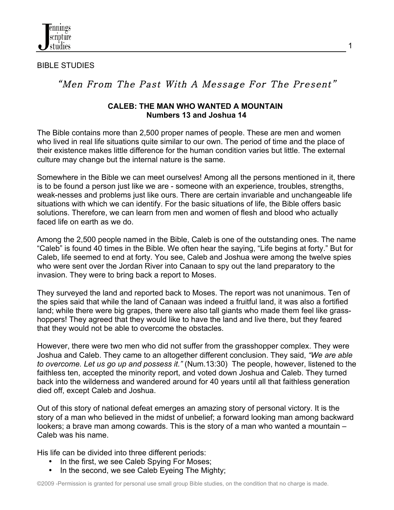

BIBLE STUDIES

# "Men From The Past With A Message For The Present"

## **CALEB: THE MAN WHO WANTED A MOUNTAIN Numbers 13 and Joshua 14**

The Bible contains more than 2,500 proper names of people. These are men and women who lived in real life situations quite similar to our own. The period of time and the place of their existence makes little difference for the human condition varies but little. The external culture may change but the internal nature is the same.

Somewhere in the Bible we can meet ourselves! Among all the persons mentioned in it, there is to be found a person just like we are - someone with an experience, troubles, strengths, weak-nesses and problems just like ours. There are certain invariable and unchangeable life situations with which we can identify. For the basic situations of life, the Bible offers basic solutions. Therefore, we can learn from men and women of flesh and blood who actually faced life on earth as we do.

Among the 2,500 people named in the Bible, Caleb is one of the outstanding ones. The name "Caleb" is found 40 times in the Bible. We often hear the saying, "Life begins at forty." But for Caleb, life seemed to end at forty. You see, Caleb and Joshua were among the twelve spies who were sent over the Jordan River into Canaan to spy out the land preparatory to the invasion. They were to bring back a report to Moses.

They surveyed the land and reported back to Moses. The report was not unanimous. Ten of the spies said that while the land of Canaan was indeed a fruitful land, it was also a fortified land; while there were big grapes, there were also tall giants who made them feel like grasshoppers! They agreed that they would like to have the land and live there, but they feared that they would not be able to overcome the obstacles.

However, there were two men who did not suffer from the grasshopper complex. They were Joshua and Caleb. They came to an altogether different conclusion. They said, *"We are able to overcome. Let us go up and possess it."* (Num.13:30) The people, however, listened to the faithless ten, accepted the minority report, and voted down Joshua and Caleb. They turned back into the wilderness and wandered around for 40 years until all that faithless generation died off, except Caleb and Joshua.

Out of this story of national defeat emerges an amazing story of personal victory. It is the story of a man who believed in the midst of unbelief; a forward looking man among backward lookers; a brave man among cowards. This is the story of a man who wanted a mountain – Caleb was his name.

His life can be divided into three different periods:

- In the first, we see Caleb Spying For Moses;
- In the second, we see Caleb Eyeing The Mighty;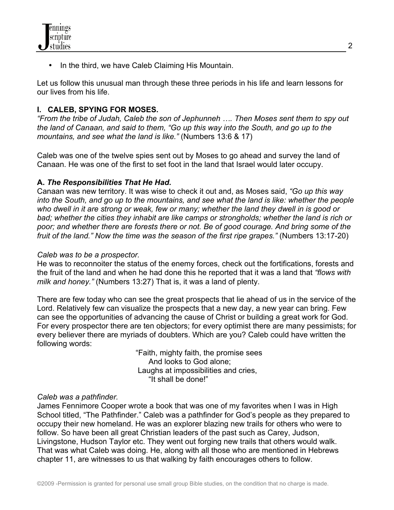• In the third, we have Caleb Claiming His Mountain.

Let us follow this unusual man through these three periods in his life and learn lessons for our lives from his life.

# **I. CALEB, SPYING FOR MOSES.**

*"From the tribe of Judah, Caleb the son of Jephunneh …. Then Moses sent them to spy out the land of Canaan, and said to them, "Go up this way into the South, and go up to the mountains, and see what the land is like."* (Numbers 13:6 & 17)

Caleb was one of the twelve spies sent out by Moses to go ahead and survey the land of Canaan. He was one of the first to set foot in the land that Israel would later occupy.

# **A.** *The Responsibilities That He Had.*

Canaan was new territory. It was wise to check it out and, as Moses said, *"Go up this way into the South, and go up to the mountains, and see what the land is like: whether the people who dwell in it are strong or weak, few or many; whether the land they dwell in is good or bad; whether the cities they inhabit are like camps or strongholds; whether the land is rich or poor; and whether there are forests there or not. Be of good courage. And bring some of the fruit of the land." Now the time was the season of the first ripe grapes."* (Numbers 13:17-20)

#### *Caleb was to be a prospector.*

He was to reconnoiter the status of the enemy forces, check out the fortifications, forests and the fruit of the land and when he had done this he reported that it was a land that *"flows with milk and honey."* (Numbers 13:27) That is, it was a land of plenty.

There are few today who can see the great prospects that lie ahead of us in the service of the Lord. Relatively few can visualize the prospects that a new day, a new year can bring. Few can see the opportunities of advancing the cause of Christ or building a great work for God. For every prospector there are ten objectors; for every optimist there are many pessimists; for every believer there are myriads of doubters. Which are you? Caleb could have written the following words:

> "Faith, mighty faith, the promise sees And looks to God alone; Laughs at impossibilities and cries, "It shall be done!"

#### *Caleb was a pathfinder.*

James Fennimore Cooper wrote a book that was one of my favorites when I was in High School titled, "The Pathfinder." Caleb was a pathfinder for God's people as they prepared to occupy their new homeland. He was an explorer blazing new trails for others who were to follow. So have been all great Christian leaders of the past such as Carey, Judson, Livingstone, Hudson Taylor etc. They went out forging new trails that others would walk. That was what Caleb was doing. He, along with all those who are mentioned in Hebrews chapter 11, are witnesses to us that walking by faith encourages others to follow.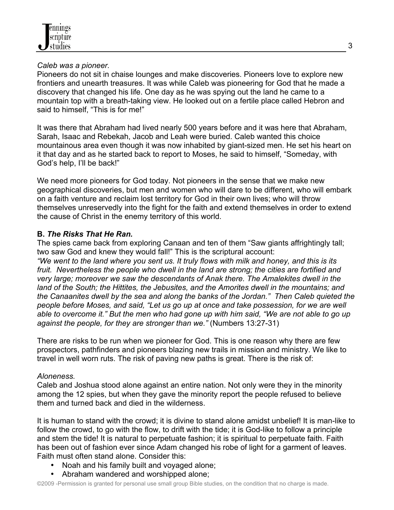#### *Caleb was a pioneer.*

Pioneers do not sit in chaise lounges and make discoveries. Pioneers love to explore new frontiers and unearth treasures. It was while Caleb was pioneering for God that he made a discovery that changed his life. One day as he was spying out the land he came to a mountain top with a breath-taking view. He looked out on a fertile place called Hebron and said to himself, "This is for me!"

It was there that Abraham had lived nearly 500 years before and it was here that Abraham, Sarah, Isaac and Rebekah, Jacob and Leah were buried. Caleb wanted this choice mountainous area even though it was now inhabited by giant-sized men. He set his heart on it that day and as he started back to report to Moses, he said to himself, "Someday, with God's help, I'll be back!"

We need more pioneers for God today. Not pioneers in the sense that we make new geographical discoveries, but men and women who will dare to be different, who will embark on a faith venture and reclaim lost territory for God in their own lives; who will throw themselves unreservedly into the fight for the faith and extend themselves in order to extend the cause of Christ in the enemy territory of this world.

# **B.** *The Risks That He Ran.*

The spies came back from exploring Canaan and ten of them "Saw giants affrightingly tall; two saw God and knew they would fall!" This is the scriptural account:

*"We went to the land where you sent us. It truly flows with milk and honey, and this is its fruit. Nevertheless the people who dwell in the land are strong; the cities are fortified and very large; moreover we saw the descendants of Anak there. The Amalekites dwell in the land of the South; the Hittites, the Jebusites, and the Amorites dwell in the mountains; and the Canaanites dwell by the sea and along the banks of the Jordan." Then Caleb quieted the people before Moses, and said, "Let us go up at once and take possession, for we are well able to overcome it." But the men who had gone up with him said, "We are not able to go up against the people, for they are stronger than we."* (Numbers 13:27-31)

There are risks to be run when we pioneer for God. This is one reason why there are few prospectors, pathfinders and pioneers blazing new trails in mission and ministry. We like to travel in well worn ruts. The risk of paving new paths is great. There is the risk of:

# *Aloneness.*

Caleb and Joshua stood alone against an entire nation. Not only were they in the minority among the 12 spies, but when they gave the minority report the people refused to believe them and turned back and died in the wilderness.

It is human to stand with the crowd; it is divine to stand alone amidst unbelief! It is man-like to follow the crowd, to go with the flow, to drift with the tide; it is God-like to follow a principle and stem the tide! It is natural to perpetuate fashion; it is spiritual to perpetuate faith. Faith has been out of fashion ever since Adam changed his robe of light for a garment of leaves. Faith must often stand alone. Consider this:

- Noah and his family built and voyaged alone;
- Abraham wandered and worshipped alone;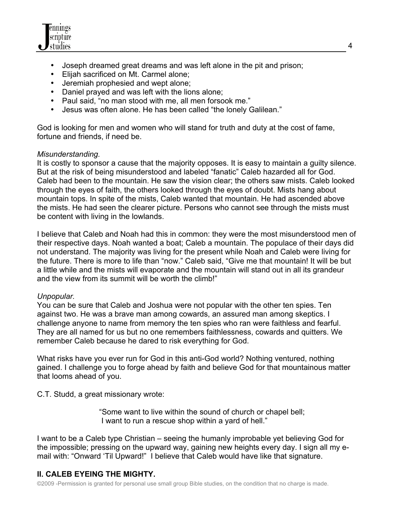

- Joseph dreamed great dreams and was left alone in the pit and prison;
- Elijah sacrificed on Mt. Carmel alone;
- Jeremiah prophesied and wept alone;
- Daniel prayed and was left with the lions alone;
- Paul said, "no man stood with me, all men forsook me."<br>• Jesus was often alone. He has been called "the lonely (
- Jesus was often alone. He has been called "the lonely Galilean."

God is looking for men and women who will stand for truth and duty at the cost of fame, fortune and friends, if need be.

#### *Misunderstanding.*

It is costly to sponsor a cause that the majority opposes. It is easy to maintain a guilty silence. But at the risk of being misunderstood and labeled "fanatic" Caleb hazarded all for God. Caleb had been to the mountain. He saw the vision clear; the others saw mists. Caleb looked through the eyes of faith, the others looked through the eyes of doubt. Mists hang about mountain tops. In spite of the mists, Caleb wanted that mountain. He had ascended above the mists. He had seen the clearer picture. Persons who cannot see through the mists must be content with living in the lowlands.

I believe that Caleb and Noah had this in common: they were the most misunderstood men of their respective days. Noah wanted a boat; Caleb a mountain. The populace of their days did not understand. The majority was living for the present while Noah and Caleb were living for the future. There is more to life than "now." Caleb said, "Give me that mountain! It will be but a little while and the mists will evaporate and the mountain will stand out in all its grandeur and the view from its summit will be worth the climb!"

#### *Unpopular.*

You can be sure that Caleb and Joshua were not popular with the other ten spies. Ten against two. He was a brave man among cowards, an assured man among skeptics. I challenge anyone to name from memory the ten spies who ran were faithless and fearful. They are all named for us but no one remembers faithlessness, cowards and quitters. We remember Caleb because he dared to risk everything for God.

What risks have you ever run for God in this anti-God world? Nothing ventured, nothing gained. I challenge you to forge ahead by faith and believe God for that mountainous matter that looms ahead of you.

C.T. Studd, a great missionary wrote:

 "Some want to live within the sound of church or chapel bell; I want to run a rescue shop within a yard of hell."

I want to be a Caleb type Christian – seeing the humanly improbable yet believing God for the impossible; pressing on the upward way, gaining new heights every day. I sign all my email with: "Onward 'Til Upward!" I believe that Caleb would have like that signature.

# **II. CALEB EYEING THE MIGHTY.**

©2009 -Permission is granted for personal use small group Bible studies, on the condition that no charge is made.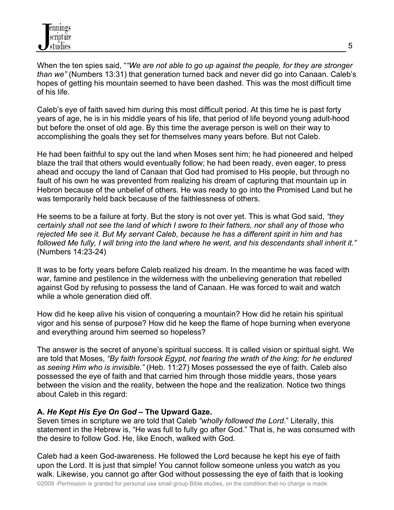When the ten spies said, "*"We are not able to go up against the people, for they are stronger than we"* (Numbers 13:31) that generation turned back and never did go into Canaan. Caleb's hopes of getting his mountain seemed to have been dashed. This was the most difficult time of his life.

Caleb's eye of faith saved him during this most difficult period. At this time he is past forty years of age, he is in his middle years of his life, that period of life beyond young adult-hood but before the onset of old age. By this time the average person is well on their way to accomplishing the goals they set for themselves many years before. But not Caleb.

He had been faithful to spy out the land when Moses sent him; he had pioneered and helped blaze the trail that others would eventually follow; he had been ready, even eager, to press ahead and occupy the land of Canaan that God had promised to His people, but through no fault of his own he was prevented from realizing his dream of capturing that mountain up in Hebron because of the unbelief of others. He was ready to go into the Promised Land but he was temporarily held back because of the faithlessness of others.

He seems to be a failure at forty. But the story is not over yet. This is what God said, *"they certainly shall not see the land of which I swore to their fathers, nor shall any of those who rejected Me see it. But My servant Caleb, because he has a different spirit in him and has followed Me fully, I will bring into the land where he went, and his descendants shall inherit it."* (Numbers 14:23-24)

It was to be forty years before Caleb realized his dream. In the meantime he was faced with war, famine and pestilence in the wilderness with the unbelieving generation that rebelled against God by refusing to possess the land of Canaan. He was forced to wait and watch while a whole generation died off.

How did he keep alive his vision of conquering a mountain? How did he retain his spiritual vigor and his sense of purpose? How did he keep the flame of hope burning when everyone and everything around him seemed so hopeless?

The answer is the secret of anyone's spiritual success. It is called vision or spiritual sight. We are told that Moses, *"By faith forsook Egypt, not fearing the wrath of the king; for he endured as seeing Him who is invisible."* (Heb. 11:27) Moses possessed the eye of faith. Caleb also possessed the eye of faith and that carried him through those middle years, those years between the vision and the reality, between the hope and the realization. Notice two things about Caleb in this regard:

# **A.** *He Kept His Eye On God* **– The Upward Gaze.**

Seven times in scripture we are told that Caleb *"wholly followed the Lord*." Literally, this statement in the Hebrew is, "He was full to fully go after God." That is, he was consumed with the desire to follow God. He, like Enoch, walked with God.

Caleb had a keen God-awareness. He followed the Lord because he kept his eye of faith upon the Lord. It is just that simple! You cannot follow someone unless you watch as you walk. Likewise, you cannot go after God without possessing the eye of faith that is looking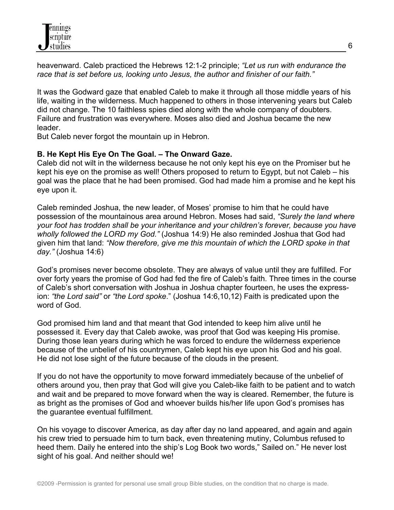heavenward. Caleb practiced the Hebrews 12:1-2 principle; *"Let us run with endurance the race that is set before us, looking unto Jesus, the author and finisher of our faith."*

It was the Godward gaze that enabled Caleb to make it through all those middle years of his life, waiting in the wilderness. Much happened to others in those intervening years but Caleb did not change. The 10 faithless spies died along with the whole company of doubters. Failure and frustration was everywhere. Moses also died and Joshua became the new leader.

But Caleb never forgot the mountain up in Hebron.

## **B. He Kept His Eye On The Goal. – The Onward Gaze.**

Caleb did not wilt in the wilderness because he not only kept his eye on the Promiser but he kept his eye on the promise as well! Others proposed to return to Egypt, but not Caleb – his goal was the place that he had been promised. God had made him a promise and he kept his eye upon it.

Caleb reminded Joshua, the new leader, of Moses' promise to him that he could have possession of the mountainous area around Hebron. Moses had said, *"Surely the land where your foot has trodden shall be your inheritance and your children's forever, because you have wholly followed the LORD my God."* (Joshua 14:9) He also reminded Joshua that God had given him that land: *"Now therefore, give me this mountain of which the LORD spoke in that day."* (Joshua 14:6)

God's promises never become obsolete. They are always of value until they are fulfilled. For over forty years the promise of God had fed the fire of Caleb's faith. Three times in the course of Caleb's short conversation with Joshua in Joshua chapter fourteen, he uses the expression: *"the Lord said"* or *"the Lord spoke*." (Joshua 14:6,10,12) Faith is predicated upon the word of God.

God promised him land and that meant that God intended to keep him alive until he possessed it. Every day that Caleb awoke, was proof that God was keeping His promise. During those lean years during which he was forced to endure the wilderness experience because of the unbelief of his countrymen, Caleb kept his eye upon his God and his goal. He did not lose sight of the future because of the clouds in the present.

If you do not have the opportunity to move forward immediately because of the unbelief of others around you, then pray that God will give you Caleb-like faith to be patient and to watch and wait and be prepared to move forward when the way is cleared. Remember, the future is as bright as the promises of God and whoever builds his/her life upon God's promises has the guarantee eventual fulfillment.

On his voyage to discover America, as day after day no land appeared, and again and again his crew tried to persuade him to turn back, even threatening mutiny, Columbus refused to heed them. Daily he entered into the ship's Log Book two words," Sailed on." He never lost sight of his goal. And neither should we!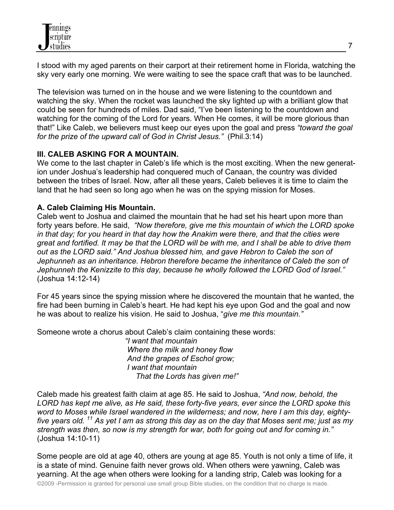

I stood with my aged parents on their carport at their retirement home in Florida, watching the sky very early one morning. We were waiting to see the space craft that was to be launched.

The television was turned on in the house and we were listening to the countdown and watching the sky. When the rocket was launched the sky lighted up with a brilliant glow that could be seen for hundreds of miles. Dad said, "I've been listening to the countdown and watching for the coming of the Lord for years. When He comes, it will be more glorious than that!" Like Caleb, we believers must keep our eyes upon the goal and press *"toward the goal for the prize of the upward call of God in Christ Jesus."* (Phil.3:14)

## **III. CALEB ASKING FOR A MOUNTAIN.**

We come to the last chapter in Caleb's life which is the most exciting. When the new generation under Joshua's leadership had conquered much of Canaan, the country was divided between the tribes of Israel. Now, after all these years, Caleb believes it is time to claim the land that he had seen so long ago when he was on the spying mission for Moses.

## **A. Caleb Claiming His Mountain.**

Caleb went to Joshua and claimed the mountain that he had set his heart upon more than forty years before. He said, *"Now therefore, give me this mountain of which the LORD spoke in that day; for you heard in that day how the Anakim were there, and that the cities were great and fortified. It may be that the LORD will be with me, and I shall be able to drive them out as the LORD said." And Joshua blessed him, and gave Hebron to Caleb the son of Jephunneh as an inheritance. Hebron therefore became the inheritance of Caleb the son of Jephunneh the Kenizzite to this day, because he wholly followed the LORD God of Israel."* (Joshua 14:12-14)

For 45 years since the spying mission where he discovered the mountain that he wanted, the fire had been burning in Caleb's heart. He had kept his eye upon God and the goal and now he was about to realize his vision. He said to Joshua, "*give me this mountain."*

Someone wrote a chorus about Caleb's claim containing these words:

 *"I want that mountain Where the milk and honey flow And the grapes of Eschol grow; I want that mountain That the Lords has given me!"*

Caleb made his greatest faith claim at age 85. He said to Joshua, *"And now, behold, the LORD has kept me alive, as He said, these forty-five years, ever since the LORD spoke this word to Moses while Israel wandered in the wilderness; and now, here I am this day, eightyfive years old. 11 As yet I am as strong this day as on the day that Moses sent me; just as my strength was then, so now is my strength for war, both for going out and for coming in."* (Joshua 14:10-11)

Some people are old at age 40, others are young at age 85. Youth is not only a time of life, it is a state of mind. Genuine faith never grows old. When others were yawning, Caleb was yearning. At the age when others were looking for a landing strip, Caleb was looking for a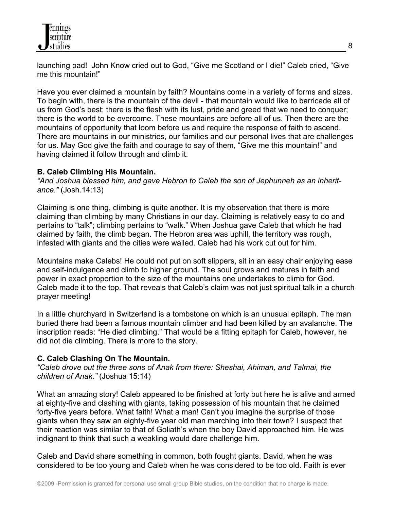launching pad! John Know cried out to God, "Give me Scotland or I die!" Caleb cried, "Give me this mountain!"

Have you ever claimed a mountain by faith? Mountains come in a variety of forms and sizes. To begin with, there is the mountain of the devil - that mountain would like to barricade all of us from God's best; there is the flesh with its lust, pride and greed that we need to conquer; there is the world to be overcome. These mountains are before all of us. Then there are the mountains of opportunity that loom before us and require the response of faith to ascend. There are mountains in our ministries, our families and our personal lives that are challenges for us. May God give the faith and courage to say of them, "Give me this mountain!" and having claimed it follow through and climb it.

# **B. Caleb Climbing His Mountain.**

*"And Joshua blessed him, and gave Hebron to Caleb the son of Jephunneh as an inheritance."* (Josh.14:13)

Claiming is one thing, climbing is quite another. It is my observation that there is more claiming than climbing by many Christians in our day. Claiming is relatively easy to do and pertains to "talk"; climbing pertains to "walk." When Joshua gave Caleb that which he had claimed by faith, the climb began. The Hebron area was uphill, the territory was rough, infested with giants and the cities were walled. Caleb had his work cut out for him.

Mountains make Calebs! He could not put on soft slippers, sit in an easy chair enjoying ease and self-indulgence and climb to higher ground. The soul grows and matures in faith and power in exact proportion to the size of the mountains one undertakes to climb for God. Caleb made it to the top. That reveals that Caleb's claim was not just spiritual talk in a church prayer meeting!

In a little churchyard in Switzerland is a tombstone on which is an unusual epitaph. The man buried there had been a famous mountain climber and had been killed by an avalanche. The inscription reads: "He died climbing." That would be a fitting epitaph for Caleb, however, he did not die climbing. There is more to the story.

# **C. Caleb Clashing On The Mountain.**

*"Caleb drove out the three sons of Anak from there: Sheshai, Ahiman, and Talmai, the children of Anak."* (Joshua 15:14)

What an amazing story! Caleb appeared to be finished at forty but here he is alive and armed at eighty-five and clashing with giants, taking possession of his mountain that he claimed forty-five years before. What faith! What a man! Can't you imagine the surprise of those giants when they saw an eighty-five year old man marching into their town? I suspect that their reaction was similar to that of Goliath's when the boy David approached him. He was indignant to think that such a weakling would dare challenge him.

Caleb and David share something in common, both fought giants. David, when he was considered to be too young and Caleb when he was considered to be too old. Faith is ever